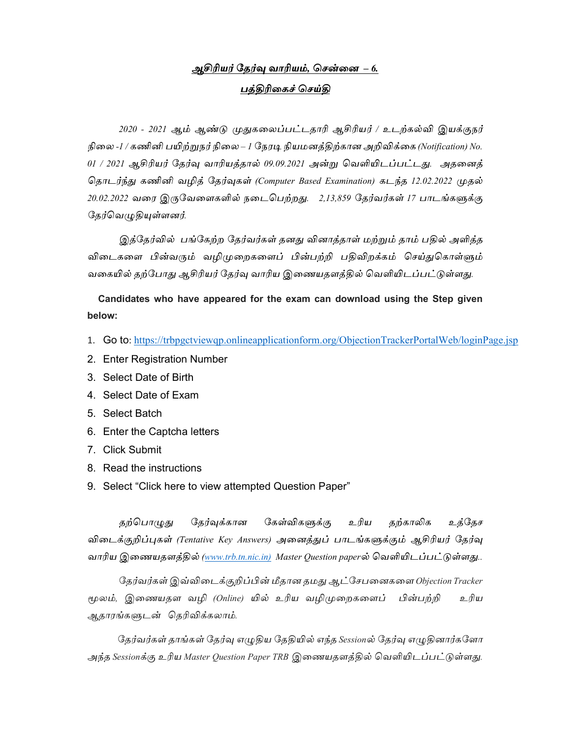## <u> அசிரியர் தேர்வு வாரியம், சென்னை – 6.</u> பக்கிரிகைச் செய்கி

2020 - 2021 ஆம் ஆண்டு முதுகலைப்பட்டதாரி ஆசிரியர் / உடற்கல்வி இயக்குநர் நிலை -1 / கணினி பயிற்றுநர் நிலை – 1 நேரடி நியமனத்திற்கான அறிவிக்கை (Notification) No. 01 / 2021 ஆசிரியர் தேர்வு வாரியத்தால் 09.09.2021 அன்று வெளியிடப்பட்டது. அதனைத் தொடர்ந்து கணினி வழித் தேர்வுகள் (Computer Based Examination) கடந்த 12.02.2022 முதல் 20.02.2022 வரை இருவேளைகளில் நடைபெற்றது. 2,13,859 தேர்வர்கள் 17 பாடங்களுக்கு தேர்வெழுதியுள்ளனர்.

இத்தேர்வில் பங்கேற்ற தேர்வர்கள் தனது வினாத்தாள் மற்றும் தாம் பதில் அளித்த விடைகளை பின்வரும் வழிமுறைகளைப் பின்பற்றி பதிவிறக்கம் செய்துகொள்ளும் வகையில் தற்போது ஆசிரியர் தேர்வு வாரிய இணையதளத்தில் வெளியிடப்பட்டுள்ளது.

Candidates who have appeared for the exam can download using the Step given below:

- 1. Go to: https://trbpgctviewqp.onlineapplicationform.org/ObjectionTrackerPortalWeb/loginPage.jsp
- 2. Enter Registration Number
- 3. Select Date of Birth
- 4. Select Date of Exam
- 5. Select Batch
- 6. Enter the Captcha letters
- 7. Click Submit
- 8. Read the instructions
- 9. Select "Click here to view attempted Question Paper"

தற்பொழுது தேர்வுக்கான கேள்விகளுக்கு உரிய தற்காலிக உத்தேச விடைக்குறிப்புகள் (Tentative Key Answers) அனைத்துப் பாடங்களுக்கும் ஆசிரியர் தேர்வு வாரிய இணையதளத்தில் (www.trb.tn.nic.in) Master Question paperல் வெளியிடப்பட்டுள்ளது..

தேர்வர்கள் இவ்விடைக்குறிப்பின் மீதான தமது ஆட்சேபனைகளை Objection Tracker மூலம், இணையதள வழி *(Online) யில் உரிய வழிமுறைகளைப் பின்பற்றி* உரிய ஆதாரங்களுடன் தெரிவிக்கலாம்.

தேர்வர்கள் தாங்கள் தேர்வு எழுதிய தேதியில் எந்த Sessionல் தேர்வு எழுதினார்களோ அந்த Sessionக்கு உரிய Master Question Paper TRB இணையதளத்தில் வெளியிடப்பட்டுள்ளது.